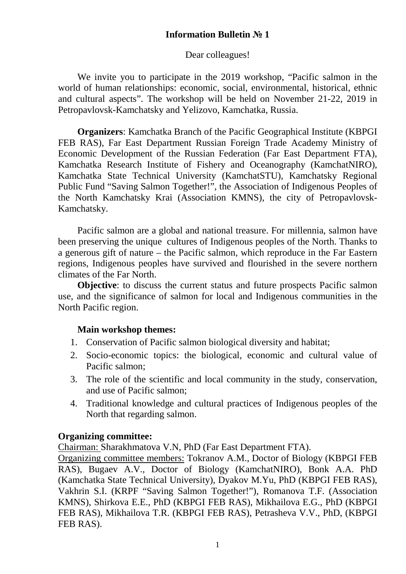# **Information Bulletin № 1**

# Dear colleagues!

We invite you to participate in the 2019 workshop, "Pacific salmon in the world of human relationships: economic, social, environmental, historical, ethnic and cultural aspects". The workshop will be held on November 21-22, 2019 in Petropavlovsk-Kamchatsky and Yelizovo, Kamchatka, Russia.

**Organizers**: Kamchatka Branch of the Pacific Geographical Institute (KBPGI FEB RAS), Far East Department Russian Foreign Trade Academy Ministry of Economic Development of the Russian Federation (Far East Department FTA), Kamchatka Research Institute of Fishery and Oceanography (KamchatNIRO), Kamchatka State Technical University (KamchatSTU), Kamchatsky Regional Public Fund "Saving Salmon Together!", the Association of Indigenous Peoples of the North Kamchatsky Krai (Association KMNS), the city of Petropavlovsk-Kamchatsky.

Pacific salmon are a global and national treasure. For millennia, salmon have been preserving the unique cultures of Indigenous peoples of the North. Thanks to a generous gift of nature – the Pacific salmon, which reproduce in the Far Eastern regions, Indigenous peoples have survived and flourished in the severe northern climates of the Far North.

**Objective**: to discuss the current status and future prospects Pacific salmon use, and the significance of salmon for local and Indigenous communities in the North Pacific region.

# **Main workshop themes:**

- 1. Conservation of Pacific salmon biological diversity and habitat;
- 2. Socio-economic topics: the biological, economic and cultural value of Pacific salmon;
- 3. The role of the scientific and local community in the study, conservation, and use of Pacific salmon;
- 4. Traditional knowledge and cultural practices of Indigenous peoples of the North that regarding salmon.

# **Organizing committee:**

Chairman: Sharakhmatova V.N, PhD (Far East Department FTA).

Organizing committee members: Tokranov A.M., Doctor of Biology (KBPGI FEB RAS), Bugaev A.V., Doctor of Biology (KamchatNIRO), Bonk A.A. PhD (Kamchatka State Technical University), Dyakov M.Yu, PhD (KBPGI FEB RAS), Vakhrin S.I. (KRPF "Saving Salmon Together!"), Romanova T.F. (Association KMNS), Shirkova E.E., PhD (KBPGI FEB RAS), Mikhailova E.G., PhD (KBPGI FEB RAS), Mikhailova T.R. (KBPGI FEB RAS), Petrasheva V.V., PhD, (KBPGI FEB RAS).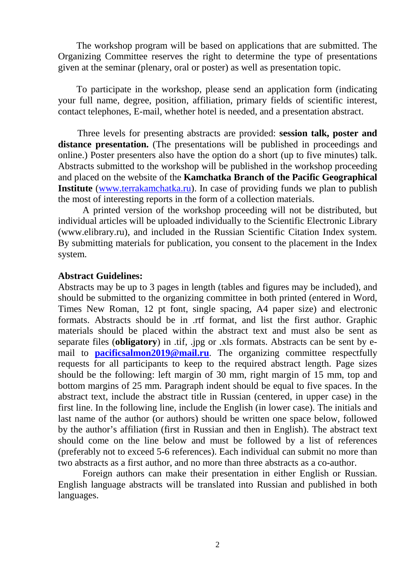The workshop program will be based on applications that are submitted. The Organizing Committee reserves the right to determine the type of presentations given at the seminar (plenary, oral or poster) as well as presentation topic.

To participate in the workshop, please send an application form (indicating your full name, degree, position, affiliation, primary fields of scientific interest, contact telephones, E-mail, whether hotel is needed, and a presentation abstract.

Three levels for presenting abstracts are provided: **session talk, poster and**  distance presentation. (The presentations will be published in proceedings and online.) Poster presenters also have the option do a short (up to five minutes) talk. Abstracts submitted to the workshop will be published in the workshop proceeding and placed on the website of the **Kamchatka Branch of the Pacific Geographical Institute** (www.terrakamchatka.ru). In case of providing funds we plan to publish the most of interesting reports in the form of a collection materials.

 A printed version of the workshop proceeding will not be distributed, but individual articles will be uploaded individually to the Scientific Electronic Library (www.elibrary.ru), and included in the Russian Scientific Citation Index system. By submitting materials for publication, you consent to the placement in the Index system.

### **Abstract Guidelines:**

Abstracts may be up to 3 pages in length (tables and figures may be included), and should be submitted to the organizing committee in both printed (entered in Word, Times New Roman, 12 pt font, single spacing, A4 paper size) and electronic formats. Abstracts should be in .rtf format, and list the first author. Graphic materials should be placed within the abstract text and must also be sent as separate files (**obligatory**) in .tif, .jpg or .xls formats. Abstracts can be sent by email to **pacificsalmon2019@mail.ru**. The organizing committee respectfully requests for all participants to keep to the required abstract length. Page sizes should be the following: left margin of 30 mm, right margin of 15 mm, top and bottom margins of 25 mm. Paragraph indent should be equal to five spaces. In the abstract text, include the abstract title in Russian (centered, in upper case) in the first line. In the following line, include the English (in lower case). The initials and last name of the author (or authors) should be written one space below, followed by the author's affiliation (first in Russian and then in English). The abstract text should come on the line below and must be followed by a list of references (preferably not to exceed 5-6 references). Each individual can submit no more than two abstracts as a first author, and no more than three abstracts as a co-author.

Foreign authors can make their presentation in either English or Russian. English language abstracts will be translated into Russian and published in both languages.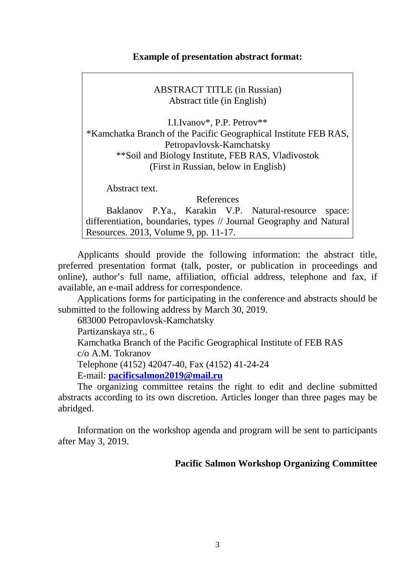### **Example of presentation abstract format:**

ABSTRACT TITLE (in Russian) Abstract title (in English)

I.I.Ivanov\*, P.P. Petrov\*\* \*Kamchatka Branch of the Pacific Geographical Institute FEB RAS, Petropavlovsk-Kamchatsky \*\*Soil and Biology Institute, FEB RAS, Vladivostok (First in Russian, below in English)

Abstract text.

References

Baklanov P.Ya., Karakin V.P. Natural-resource space: differentiation, boundaries, types // Journal Geography and Natural Resources. 2013, Volume 9, pp. 11-17.

Applicants should provide the following information: the abstract title, preferred presentation format (talk, poster, or publication in proceedings and online), author's full name, affiliation, official address, telephone and fax, if available, an e-mail address for correspondence.

Applications forms for participating in the conference and abstracts should be submitted to the following address by March 30, 2019.

683000 Petropavlovsk-Kamchatsky

Partizanskaya str., 6

Kamchatka Branch of the Pacific Geographical Institute of FEB RAS

c/o A.M. Tokranov

Telephone (4152) 42047-40, Fax (4152) 41-24-24

E-mail: **pacificsalmon2019@mail.ru**

The organizing committee retains the right to edit and decline submitted abstracts according to its own discretion. Articles longer than three pages may be abridged.

Information on the workshop agenda and program will be sent to participants after May 3, 2019.

### **Pacific Salmon Workshop Organizing Committee**